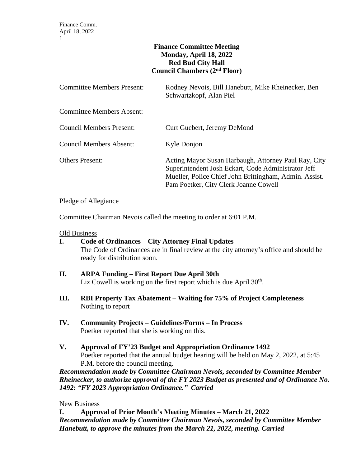### **Finance Committee Meeting Monday, April 18, 2022 Red Bud City Hall Council Chambers (2nd Floor)**

| Committee Members Present:       | Rodney Nevois, Bill Hanebutt, Mike Rheinecker, Ben<br>Schwartzkopf, Alan Piel                                                                                                                                  |
|----------------------------------|----------------------------------------------------------------------------------------------------------------------------------------------------------------------------------------------------------------|
| <b>Committee Members Absent:</b> |                                                                                                                                                                                                                |
| Council Members Present:         | Curt Guebert, Jeremy DeMond                                                                                                                                                                                    |
| Council Members Absent:          | Kyle Donjon                                                                                                                                                                                                    |
| Others Present:                  | Acting Mayor Susan Harbaugh, Attorney Paul Ray, City<br>Superintendent Josh Eckart, Code Administrator Jeff<br>Mueller, Police Chief John Brittingham, Admin. Assist.<br>Pam Poetker, City Clerk Joanne Cowell |

Pledge of Allegiance

Committee Chairman Nevois called the meeting to order at 6:01 P.M.

#### Old Business

- **I. Code of Ordinances – City Attorney Final Updates** The Code of Ordinances are in final review at the city attorney's office and should be ready for distribution soon.
- **II. ARPA Funding – First Report Due April 30th** Liz Cowell is working on the first report which is due April 30<sup>th</sup>.
- **III. RBI Property Tax Abatement – Waiting for 75% of Project Completeness** Nothing to report
- **IV. Community Projects – Guidelines/Forms – In Process** Poetker reported that she is working on this.
- **V. Approval of FY'23 Budget and Appropriation Ordinance 1492** Poetker reported that the annual budget hearing will be held on May 2, 2022, at 5:45 P.M. before the council meeting.

*Recommendation made by Committee Chairman Nevois, seconded by Committee Member Rheinecker, to authorize approval of the FY 2023 Budget as presented and of Ordinance No. 1492: "FY 2023 Appropriation Ordinance." Carried*

### New Business

**I. Approval of Prior Month's Meeting Minutes – March 21, 2022** *Recommendation made by Committee Chairman Nevois, seconded by Committee Member Hanebutt, to approve the minutes from the March 21, 2022, meeting. Carried*